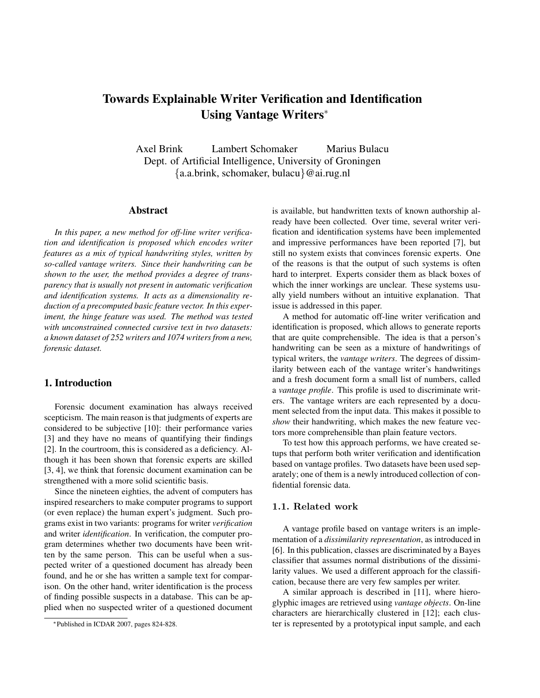# Towards Explainable Writer Verification and Identification Using Vantage Writers<sup>∗</sup>

Axel Brink Lambert Schomaker Marius Bulacu Dept. of Artificial Intelligence, University of Groningen {a.a.brink, schomaker, bulacu}@ai.rug.nl

## Abstract

*In this paper, a new method for off-line writer verification and identification is proposed which encodes writer features as a mix of typical handwriting styles, written by so-called vantage writers. Since their handwriting can be shown to the user, the method provides a degree of transparency that is usually not present in automatic verification and identification systems. It acts as a dimensionality reduction of a precomputed basic feature vector. In this experiment, the hinge feature was used. The method was tested with unconstrained connected cursive text in two datasets: a known dataset of 252 writers and 1074 writers from a new, forensic dataset.*

# 1. Introduction

Forensic document examination has always received scepticism. The main reason is that judgments of experts are considered to be subjective [10]: their performance varies [3] and they have no means of quantifying their findings [2]. In the courtroom, this is considered as a deficiency. Although it has been shown that forensic experts are skilled [3, 4], we think that forensic document examination can be strengthened with a more solid scientific basis.

Since the nineteen eighties, the advent of computers has inspired researchers to make computer programs to support (or even replace) the human expert's judgment. Such programs exist in two variants: programs for writer *verification* and writer *identification*. In verification, the computer program determines whether two documents have been written by the same person. This can be useful when a suspected writer of a questioned document has already been found, and he or she has written a sample text for comparison. On the other hand, writer identification is the process of finding possible suspects in a database. This can be applied when no suspected writer of a questioned document is available, but handwritten texts of known authorship already have been collected. Over time, several writer verification and identification systems have been implemented and impressive performances have been reported [7], but still no system exists that convinces forensic experts. One of the reasons is that the output of such systems is often hard to interpret. Experts consider them as black boxes of which the inner workings are unclear. These systems usually yield numbers without an intuitive explanation. That issue is addressed in this paper.

A method for automatic off-line writer verification and identification is proposed, which allows to generate reports that are quite comprehensible. The idea is that a person's handwriting can be seen as a mixture of handwritings of typical writers, the *vantage writers*. The degrees of dissimilarity between each of the vantage writer's handwritings and a fresh document form a small list of numbers, called a *vantage profile*. This profile is used to discriminate writers. The vantage writers are each represented by a document selected from the input data. This makes it possible to *show* their handwriting, which makes the new feature vectors more comprehensible than plain feature vectors.

To test how this approach performs, we have created setups that perform both writer verification and identification based on vantage profiles. Two datasets have been used separately; one of them is a newly introduced collection of confidential forensic data.

#### 1.1. Related work

A vantage profile based on vantage writers is an implementation of a *dissimilarity representation*, as introduced in [6]. In this publication, classes are discriminated by a Bayes classifier that assumes normal distributions of the dissimilarity values. We used a different approach for the classification, because there are very few samples per writer.

A similar approach is described in [11], where hieroglyphic images are retrieved using *vantage objects*. On-line characters are hierarchically clustered in [12]; each cluster is represented by a prototypical input sample, and each

<sup>∗</sup>Published in ICDAR 2007, pages 824-828.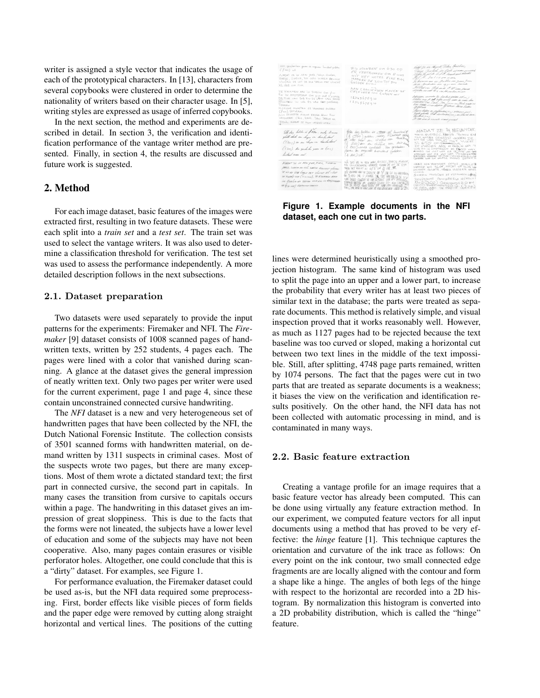writer is assigned a style vector that indicates the usage of each of the prototypical characters. In [13], characters from several copybooks were clustered in order to determine the nationality of writers based on their character usage. In [5], writing styles are expressed as usage of inferred copybooks.

In the next section, the method and experiments are described in detail. In section 3, the verification and identification performance of the vantage writer method are presented. Finally, in section 4, the results are discussed and future work is suggested.

# 2. Method

For each image dataset, basic features of the images were extracted first, resulting in two feature datasets. These were each split into a *train set* and a *test set*. The train set was used to select the vantage writers. It was also used to determine a classification threshold for verification. The test set was used to assess the performance independently. A more detailed description follows in the next subsections.

#### 2.1. Dataset preparation

Two datasets were used separately to provide the input patterns for the experiments: Firemaker and NFI. The *Firemaker* [9] dataset consists of 1008 scanned pages of handwritten texts, written by 252 students, 4 pages each. The pages were lined with a color that vanished during scanning. A glance at the dataset gives the general impression of neatly written text. Only two pages per writer were used for the current experiment, page 1 and page 4, since these contain unconstrained connected cursive handwriting.

The *NFI* dataset is a new and very heterogeneous set of handwritten pages that have been collected by the NFI, the Dutch National Forensic Institute. The collection consists of 3501 scanned forms with handwritten material, on demand written by 1311 suspects in criminal cases. Most of the suspects wrote two pages, but there are many exceptions. Most of them wrote a dictated standard text; the first part in connected cursive, the second part in capitals. In many cases the transition from cursive to capitals occurs within a page. The handwriting in this dataset gives an impression of great sloppiness. This is due to the facts that the forms were not lineated, the subjects have a lower level of education and some of the subjects may have not been cooperative. Also, many pages contain erasures or visible perforator holes. Altogether, one could conclude that this is a "dirty" dataset. For examples, see Figure 1.

For performance evaluation, the Firemaker dataset could be used as-is, but the NFI data required some preprocessing. First, border effects like visible pieces of form fields and the paper edge were removed by cutting along straight horizontal and vertical lines. The positions of the cutting



**Figure 1. Example documents in the NFI dataset, each one cut in two parts.**

lines were determined heuristically using a smoothed projection histogram. The same kind of histogram was used to split the page into an upper and a lower part, to increase the probability that every writer has at least two pieces of similar text in the database; the parts were treated as separate documents. This method is relatively simple, and visual inspection proved that it works reasonably well. However, as much as 1127 pages had to be rejected because the text baseline was too curved or sloped, making a horizontal cut between two text lines in the middle of the text impossible. Still, after splitting, 4748 page parts remained, written by 1074 persons. The fact that the pages were cut in two parts that are treated as separate documents is a weakness; it biases the view on the verification and identification results positively. On the other hand, the NFI data has not been collected with automatic processing in mind, and is contaminated in many ways.

#### 2.2. Basic feature extraction

Creating a vantage profile for an image requires that a basic feature vector has already been computed. This can be done using virtually any feature extraction method. In our experiment, we computed feature vectors for all input documents using a method that has proved to be very effective: the *hinge* feature [1]. This technique captures the orientation and curvature of the ink trace as follows: On every point on the ink contour, two small connected edge fragments are are locally aligned with the contour and form a shape like a hinge. The angles of both legs of the hinge with respect to the horizontal are recorded into a 2D histogram. By normalization this histogram is converted into a 2D probability distribution, which is called the "hinge" feature.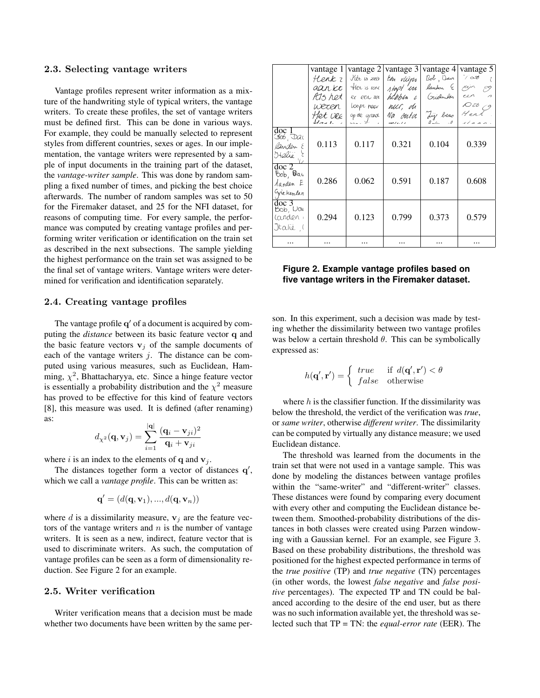#### 2.3. Selecting vantage writers

Vantage profiles represent writer information as a mixture of the handwriting style of typical writers, the vantage writers. To create these profiles, the set of vantage writers must be defined first. This can be done in various ways. For example, they could be manually selected to represent styles from different countries, sexes or ages. In our implementation, the vantage writers were represented by a sample of input documents in the training part of the dataset, the *vantage-writer sample*. This was done by random sampling a fixed number of times, and picking the best choice afterwards. The number of random samples was set to 50 for the Firemaker dataset, and 25 for the NFI dataset, for reasons of computing time. For every sample, the performance was computed by creating vantage profiles and performing writer verification or identification on the train set as described in the next subsections. The sample yielding the highest performance on the train set was assigned to be the final set of vantage writers. Vantage writers were determined for verification and identification separately.

#### 2.4. Creating vantage profiles

The vantage profile  $q'$  of a document is acquired by computing the *distance* between its basic feature vector q and the basic feature vectors  $v_i$  of the sample documents of each of the vantage writers  $j$ . The distance can be computed using various measures, such as Euclidean, Hamming,  $\chi^2$ , Bhattacharyya, etc. Since a hinge feature vector is essentially a probability distribution and the  $\chi^2$  measure has proved to be effective for this kind of feature vectors [8], this measure was used. It is defined (after renaming) as:

$$
d_{\chi^2}(\mathbf{q}, \mathbf{v}_j) = \sum_{i=1}^{|\mathbf{q}|} \frac{(\mathbf{q}_i - \mathbf{v}_{ji})^2}{\mathbf{q}_i + \mathbf{v}_{ji}}
$$

where i is an index to the elements of  $\mathbf q$  and  $\mathbf v_j$ .

The distances together form a vector of distances  $q'$ , which we call a *vantage profile*. This can be written as:

$$
\mathbf{q}' = (d(\mathbf{q}, \mathbf{v}_1), ..., d(\mathbf{q}, \mathbf{v}_n))
$$

where d is a dissimilarity measure,  $v_j$  are the feature vectors of the vantage writers and  $n$  is the number of vantage writers. It is seen as a new, indirect, feature vector that is used to discriminate writers. As such, the computation of vantage profiles can be seen as a form of dimensionality reduction. See Figure 2 for an example.

## 2.5. Writer verification

Writer verification means that a decision must be made whether two documents have been written by the same per-

|                                                                                  | vantage 1                                  | vantage 2                | vantage 3                     | vantage 4              | vantage 5                      |
|----------------------------------------------------------------------------------|--------------------------------------------|--------------------------|-------------------------------|------------------------|--------------------------------|
|                                                                                  | Henk z                                     | Jiet is zeer             | Een vlieger                   | Bob, Davi              | $\sqrt{\alpha}$                |
|                                                                                  | aanko                                      | Het is ronc              | stopt 'in                     | landen E               | jein<br>99                     |
|                                                                                  | Ats het                                    | er een za                | hlphin i                      | Grielenbar             | cen                            |
|                                                                                  | weren                                      | loopt naar               | nur, di                       |                        | $\mathcal{O}$ to $\mathcal{O}$ |
|                                                                                  | Het URE<br>$\mathcal{U}$ oul $\rightarrow$ | op de grund<br>الكاريمما | Na <sub>O</sub> nta<br>m/1.11 | Tij beno<br>مباينه فكم | Herk                           |
|                                                                                  |                                            |                          |                               |                        | $x/a$ and                      |
| $\frac{\mathrm{doc}}{\mathrm{36}}$ $\frac{1}{\mathrm{00}}$<br>landen E<br>Otelie | 0.113                                      | 0.117                    | 0.321                         | 0.104                  | 0.339                          |
| doc 2<br>bob, <b>O</b> ar<br>landen E<br>Griekenlan                              | 0.286                                      | 0.062                    | 0.591                         | 0.187                  | 0.608                          |
| $doc\ 3$<br>Bob, Dar<br>Canden,<br>Jtalie (                                      | 0.294                                      | 0.123                    | 0.799                         | 0.373                  | 0.579                          |
|                                                                                  |                                            |                          |                               |                        |                                |

#### **Figure 2. Example vantage profiles based on five vantage writers in the Firemaker dataset.**

son. In this experiment, such a decision was made by testing whether the dissimilarity between two vantage profiles was below a certain threshold  $\theta$ . This can be symbolically expressed as:

$$
h(\mathbf{q}', \mathbf{r}') = \begin{cases} \text{true} & \text{if } d(\mathbf{q}', \mathbf{r}') < \theta \\ \text{false} & \text{otherwise} \end{cases}
$$

where  $h$  is the classifier function. If the dissimilarity was below the threshold, the verdict of the verification was *true*, or *same writer*, otherwise *different writer*. The dissimilarity can be computed by virtually any distance measure; we used Euclidean distance.

The threshold was learned from the documents in the train set that were not used in a vantage sample. This was done by modeling the distances between vantage profiles within the "same-writer" and "different-writer" classes. These distances were found by comparing every document with every other and computing the Euclidean distance between them. Smoothed-probability distributions of the distances in both classes were created using Parzen windowing with a Gaussian kernel. For an example, see Figure 3. Based on these probability distributions, the threshold was positioned for the highest expected performance in terms of the *true positive* (TP) and *true negative* (TN) percentages (in other words, the lowest *false negative* and *false positive* percentages). The expected TP and TN could be balanced according to the desire of the end user, but as there was no such information available yet, the threshold was selected such that TP = TN: the *equal-error rate* (EER). The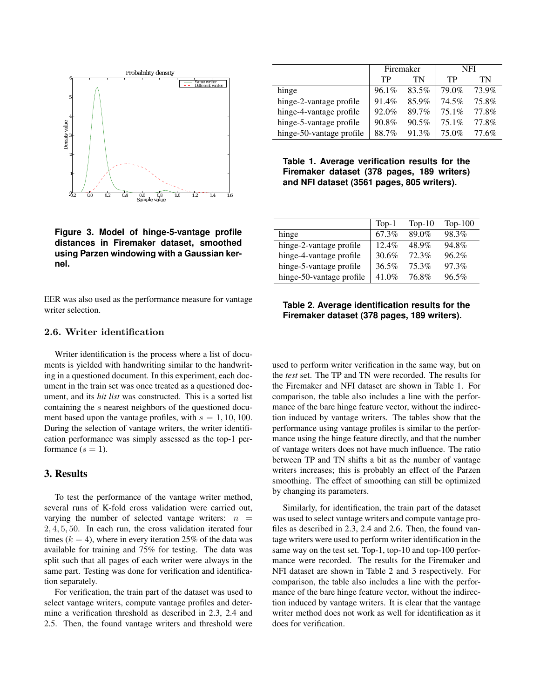

**Figure 3. Model of hinge-5-vantage profile distances in Firemaker dataset, smoothed using Parzen windowing with a Gaussian kernel.**

EER was also used as the performance measure for vantage writer selection.

## 2.6. Writer identification

Writer identification is the process where a list of documents is yielded with handwriting similar to the handwriting in a questioned document. In this experiment, each document in the train set was once treated as a questioned document, and its *hit list* was constructed. This is a sorted list containing the s nearest neighbors of the questioned document based upon the vantage profiles, with  $s = 1, 10, 100$ . During the selection of vantage writers, the writer identification performance was simply assessed as the top-1 performance  $(s = 1)$ .

#### 3. Results

To test the performance of the vantage writer method, several runs of K-fold cross validation were carried out, varying the number of selected vantage writers:  $n =$ 2, 4, 5, 50. In each run, the cross validation iterated four times ( $k = 4$ ), where in every iteration 25% of the data was available for training and 75% for testing. The data was split such that all pages of each writer were always in the same part. Testing was done for verification and identification separately.

For verification, the train part of the dataset was used to select vantage writers, compute vantage profiles and determine a verification threshold as described in 2.3, 2.4 and 2.5. Then, the found vantage writers and threshold were

|                          |       | Firemaker | NFI      |       |
|--------------------------|-------|-----------|----------|-------|
|                          | TP    | TN        | TP       | TN    |
| hinge                    | 96.1% | 83.5%     | 79.0%    | 73.9% |
| hinge-2-vantage profile  | 91.4% | 85.9%     | 74.5%    | 75.8% |
| hinge-4-vantage profile  | 92.0% | 89.7%     | $75.1\%$ | 77.8% |
| hinge-5-vantage profile  | 90.8% | 90.5%     | $75.1\%$ | 77.8% |
| hinge-50-vantage profile | 88.7% | 91.3%     | 75.0%    | 77.6% |

**Table 1. Average verification results for the Firemaker dataset (378 pages, 189 writers) and NFI dataset (3561 pages, 805 writers).**

|                          | $Top-1$  | $Top-10$ | $Top-100$ |
|--------------------------|----------|----------|-----------|
| hinge                    | 67.3%    | 89.0%    | 98.3%     |
| hinge-2-vantage profile  | $12.4\%$ | 48.9%    | 94.8%     |
| hinge-4-vantage profile  | 30.6%    | 72.3%    | $96.2\%$  |
| hinge-5-vantage profile  | $36.5\%$ | 75.3%    | 97.3%     |
| hinge-50-vantage profile | 41.0\%   | 76.8%    | $96.5\%$  |

# **Table 2. Average identification results for the Firemaker dataset (378 pages, 189 writers).**

used to perform writer verification in the same way, but on the *test* set. The TP and TN were recorded. The results for the Firemaker and NFI dataset are shown in Table 1. For comparison, the table also includes a line with the performance of the bare hinge feature vector, without the indirection induced by vantage writers. The tables show that the performance using vantage profiles is similar to the performance using the hinge feature directly, and that the number of vantage writers does not have much influence. The ratio between TP and TN shifts a bit as the number of vantage writers increases; this is probably an effect of the Parzen smoothing. The effect of smoothing can still be optimized by changing its parameters.

Similarly, for identification, the train part of the dataset was used to select vantage writers and compute vantage profiles as described in 2.3, 2.4 and 2.6. Then, the found vantage writers were used to perform writer identification in the same way on the test set. Top-1, top-10 and top-100 performance were recorded. The results for the Firemaker and NFI dataset are shown in Table 2 and 3 respectively. For comparison, the table also includes a line with the performance of the bare hinge feature vector, without the indirection induced by vantage writers. It is clear that the vantage writer method does not work as well for identification as it does for verification.